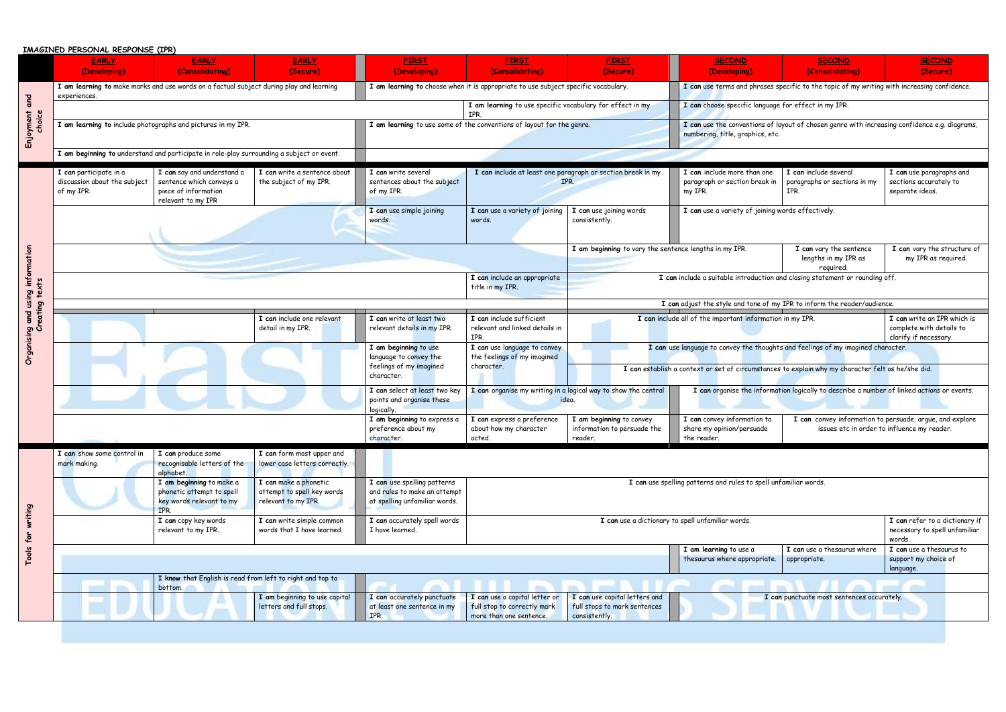|                                                   | IMAGINED PERSONAL RESPONSE (IPR)                                                                       |                                                                                                      |                                                                  |                                                                                          |                                                                                                                                                                                                                                                          |                                                                                  |                                                                                                   |                                                                           |                                                                       |  |  |
|---------------------------------------------------|--------------------------------------------------------------------------------------------------------|------------------------------------------------------------------------------------------------------|------------------------------------------------------------------|------------------------------------------------------------------------------------------|----------------------------------------------------------------------------------------------------------------------------------------------------------------------------------------------------------------------------------------------------------|----------------------------------------------------------------------------------|---------------------------------------------------------------------------------------------------|---------------------------------------------------------------------------|-----------------------------------------------------------------------|--|--|
|                                                   | <b>EARLY</b>                                                                                           | <b>EARLY</b>                                                                                         | <b>EARLY</b>                                                     | <b>FIRST</b>                                                                             | <b>FIRST</b>                                                                                                                                                                                                                                             | <b>FIRST</b>                                                                     | <b>SECOND</b>                                                                                     | <b>SECOND</b>                                                             | <b>SECOND</b>                                                         |  |  |
|                                                   | (Developing)                                                                                           | (Consolidating)                                                                                      | (Secure)                                                         | (Developing)                                                                             | (Consolidating)                                                                                                                                                                                                                                          | (Secure)                                                                         | (Developing)                                                                                      | (Consolidating)                                                           | (Secure)                                                              |  |  |
| and<br>Enjoyment<br>choice                        | I am learning to make marks and use words on a factual subject during play and learning<br>experiences |                                                                                                      |                                                                  | I am learning to choose when it is appropriate to use subject specific vocabulary.       |                                                                                                                                                                                                                                                          |                                                                                  | I can use terms and phrases specific to the topic of my writing with increasing confidence.       |                                                                           |                                                                       |  |  |
|                                                   |                                                                                                        |                                                                                                      |                                                                  | I am learning to use specific vocabulary for effect in my<br><b>TPR</b>                  |                                                                                                                                                                                                                                                          |                                                                                  | I can choose specific language for effect in my IPR.                                              |                                                                           |                                                                       |  |  |
|                                                   | I am learning to include photographs and pictures in my IPR.                                           |                                                                                                      |                                                                  |                                                                                          | I am learning to use some of the conventions of layout for the genre.                                                                                                                                                                                    |                                                                                  | I can use the conventions of layout of chosen genre with increasing confidence e.g. diagrams,     |                                                                           |                                                                       |  |  |
|                                                   |                                                                                                        |                                                                                                      |                                                                  |                                                                                          |                                                                                                                                                                                                                                                          |                                                                                  | numbering, title, graphics, etc.                                                                  |                                                                           |                                                                       |  |  |
|                                                   | I am beginning to understand and participate in role-play surrounding a subject or event.              |                                                                                                      |                                                                  |                                                                                          |                                                                                                                                                                                                                                                          |                                                                                  |                                                                                                   |                                                                           |                                                                       |  |  |
|                                                   | I can participate in a<br>discussion about the subject<br>of my IPR.                                   | I can say and understand a<br>sentence which conveys a<br>piece of information<br>relevant to my IPR | I can write a sentence about<br>the subject of my IPR.           | I can write several<br>sentences about the subject<br>of my IPR.                         | I can include at least one paragraph or section break in my<br>IPR.                                                                                                                                                                                      |                                                                                  | I can include more than one<br>paragraph or section break in<br>my IPR.                           | I can include several<br>paragraphs or sections in my<br>IPR.             | I can use paragraphs and<br>sections accurately to<br>separate ideas. |  |  |
|                                                   |                                                                                                        |                                                                                                      |                                                                  | I can use simple joining<br>words.                                                       | I can use a variety of joining<br>words.                                                                                                                                                                                                                 | I can use joining words<br>consistently.                                         | I can use a variety of joining words effectively.                                                 |                                                                           |                                                                       |  |  |
| information                                       |                                                                                                        |                                                                                                      |                                                                  |                                                                                          |                                                                                                                                                                                                                                                          | I am beginning to vary the sentence lengths in my IPR.                           |                                                                                                   | I can vary the sentence<br>lengths in my IPR as<br>required               | I can vary the structure of<br>my IPR as required.                    |  |  |
| $rac{1}{x}$<br>Duisn<br>$\ddot{\bm{5}}$<br>eating |                                                                                                        |                                                                                                      |                                                                  |                                                                                          | I can include an appropriate<br>title in my IPR.                                                                                                                                                                                                         |                                                                                  | I can include a suitable introduction and closing statement or rounding off.                      |                                                                           |                                                                       |  |  |
|                                                   |                                                                                                        |                                                                                                      |                                                                  |                                                                                          | I can adjust the style and tone of my IPR to inform the reader/audience.                                                                                                                                                                                 |                                                                                  |                                                                                                   |                                                                           |                                                                       |  |  |
| and                                               |                                                                                                        |                                                                                                      | I can include one relevant                                       | I can write at least two                                                                 | I can include sufficient                                                                                                                                                                                                                                 |                                                                                  | I can include all of the important information in my IPR.                                         |                                                                           | I can write an IPR which is                                           |  |  |
| Organising<br>⊽                                   |                                                                                                        |                                                                                                      | detail in my IPR.                                                | relevant details in my IPR.                                                              | relevant and linked details in<br>IPR.                                                                                                                                                                                                                   |                                                                                  |                                                                                                   |                                                                           | complete with details to<br>clarify if necessary.                     |  |  |
|                                                   |                                                                                                        |                                                                                                      |                                                                  | I am beginning to use<br>language to convey the<br>feelings of my imagined<br>character. | I can use language to convey<br>the feelings of my imagined                                                                                                                                                                                              | I can use language to convey the thoughts and feelings of my imagined character. |                                                                                                   |                                                                           |                                                                       |  |  |
|                                                   |                                                                                                        |                                                                                                      |                                                                  |                                                                                          | character.                                                                                                                                                                                                                                               |                                                                                  | I can establish a context or set of circumstances to explain why my character felt as he/she did. |                                                                           |                                                                       |  |  |
|                                                   |                                                                                                        |                                                                                                      |                                                                  | I can select at least two key<br>points and organise these<br>logically.                 | I can organise the information logically to describe a number of linked actions or events.<br>I can organise my writing in a logical way to show the central<br>idea.                                                                                    |                                                                                  |                                                                                                   |                                                                           |                                                                       |  |  |
|                                                   |                                                                                                        |                                                                                                      | I am beginning to express a<br>preference about my<br>character. | I can express a preference<br>about how my character<br>acted.                           | I can convey information to<br>I am beginning to convey<br>I can convey information to persuade, arque, and explore<br>information to persuade the<br>share my opinion/persuade<br>issues etc in order to influence my reader.<br>the reader.<br>reader. |                                                                                  |                                                                                                   |                                                                           |                                                                       |  |  |
|                                                   |                                                                                                        |                                                                                                      |                                                                  |                                                                                          |                                                                                                                                                                                                                                                          |                                                                                  |                                                                                                   |                                                                           |                                                                       |  |  |
| writing<br>Tools for                              | I can show some control in<br>mark making.                                                             | I can produce some<br>recognisable letters of the<br>alphabet.                                       | I can form most upper and<br>lower case letters correctly.       |                                                                                          |                                                                                                                                                                                                                                                          |                                                                                  |                                                                                                   |                                                                           |                                                                       |  |  |
|                                                   |                                                                                                        | I am beginning to make a<br>phonetic attempt to spell                                                | I can make a phonetic<br>attempt to spell key words              | I can use spelling patterns<br>and rules to make an attempt                              | I can use spelling patterns and rules to spell unfamiliar words.                                                                                                                                                                                         |                                                                                  |                                                                                                   |                                                                           |                                                                       |  |  |
|                                                   |                                                                                                        | key words relevant to my<br>IPR.                                                                     | relevant to my IPR.                                              | at spelling unfamiliar words.                                                            |                                                                                                                                                                                                                                                          |                                                                                  |                                                                                                   |                                                                           |                                                                       |  |  |
|                                                   |                                                                                                        | I can copy key words<br>relevant to my IPR.                                                          | I can write simple common<br>words that I have learned.          | I can accurately spell words<br>I have learned.                                          | I can use a dictionary to spell unfamiliar words.                                                                                                                                                                                                        |                                                                                  |                                                                                                   | I can refer to a dictionary if<br>necessary to spell unfamiliar<br>words. |                                                                       |  |  |
|                                                   |                                                                                                        |                                                                                                      |                                                                  |                                                                                          |                                                                                                                                                                                                                                                          |                                                                                  | I am learning to use a                                                                            | I can use a thesaurus where                                               | <b>I can</b> use a thesaurus to                                       |  |  |
|                                                   |                                                                                                        |                                                                                                      |                                                                  |                                                                                          |                                                                                                                                                                                                                                                          |                                                                                  | thesaurus where appropriate.                                                                      | appropriate.                                                              | support my choice of<br>language.                                     |  |  |
|                                                   | I know that English is read from left to right and top to<br>bottom.                                   |                                                                                                      |                                                                  |                                                                                          |                                                                                                                                                                                                                                                          |                                                                                  |                                                                                                   |                                                                           |                                                                       |  |  |
|                                                   |                                                                                                        |                                                                                                      | I am beginning to use capital<br>letters and full stops.         | I can accurately punctuate<br>at least one sentence in my<br>IPR.                        | I can use a capital letter or<br>full stop to correctly mark<br>more than one sentence.                                                                                                                                                                  | I can use capital letters and<br>full stops to mark sentences<br>consistently.   | I can punctuate most sentences accurately.                                                        |                                                                           |                                                                       |  |  |
|                                                   |                                                                                                        |                                                                                                      |                                                                  |                                                                                          |                                                                                                                                                                                                                                                          |                                                                                  |                                                                                                   |                                                                           |                                                                       |  |  |